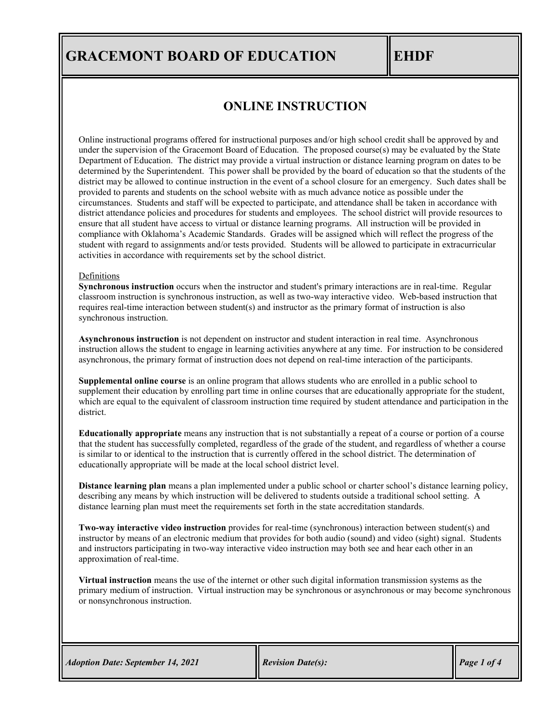### **ONLINE INSTRUCTION**

Online instructional programs offered for instructional purposes and/or high school credit shall be approved by and under the supervision of the Gracemont Board of Education. The proposed course(s) may be evaluated by the State Department of Education. The district may provide a virtual instruction or distance learning program on dates to be determined by the Superintendent. This power shall be provided by the board of education so that the students of the district may be allowed to continue instruction in the event of a school closure for an emergency. Such dates shall be provided to parents and students on the school website with as much advance notice as possible under the circumstances. Students and staff will be expected to participate, and attendance shall be taken in accordance with district attendance policies and procedures for students and employees. The school district will provide resources to ensure that all student have access to virtual or distance learning programs. All instruction will be provided in compliance with Oklahoma's Academic Standards. Grades will be assigned which will reflect the progress of the student with regard to assignments and/or tests provided. Students will be allowed to participate in extracurricular activities in accordance with requirements set by the school district.

#### Definitions

**Synchronous instruction** occurs when the instructor and student's primary interactions are in real-time. Regular classroom instruction is synchronous instruction, as well as two-way interactive video. Web-based instruction that requires real-time interaction between student(s) and instructor as the primary format of instruction is also synchronous instruction.

**Asynchronous instruction** is not dependent on instructor and student interaction in real time. Asynchronous instruction allows the student to engage in learning activities anywhere at any time. For instruction to be considered asynchronous, the primary format of instruction does not depend on real-time interaction of the participants.

**Supplemental online course** is an online program that allows students who are enrolled in a public school to supplement their education by enrolling part time in online courses that are educationally appropriate for the student, which are equal to the equivalent of classroom instruction time required by student attendance and participation in the district.

**Educationally appropriate** means any instruction that is not substantially a repeat of a course or portion of a course that the student has successfully completed, regardless of the grade of the student, and regardless of whether a course is similar to or identical to the instruction that is currently offered in the school district. The determination of educationally appropriate will be made at the local school district level.

**Distance learning plan** means a plan implemented under a public school or charter school's distance learning policy, describing any means by which instruction will be delivered to students outside a traditional school setting. A distance learning plan must meet the requirements set forth in the state accreditation standards.

**Two-way interactive video instruction** provides for real-time (synchronous) interaction between student(s) and instructor by means of an electronic medium that provides for both audio (sound) and video (sight) signal. Students and instructors participating in two-way interactive video instruction may both see and hear each other in an approximation of real-time.

**Virtual instruction** means the use of the internet or other such digital information transmission systems as the primary medium of instruction. Virtual instruction may be synchronous or asynchronous or may become synchronous or nonsynchronous instruction.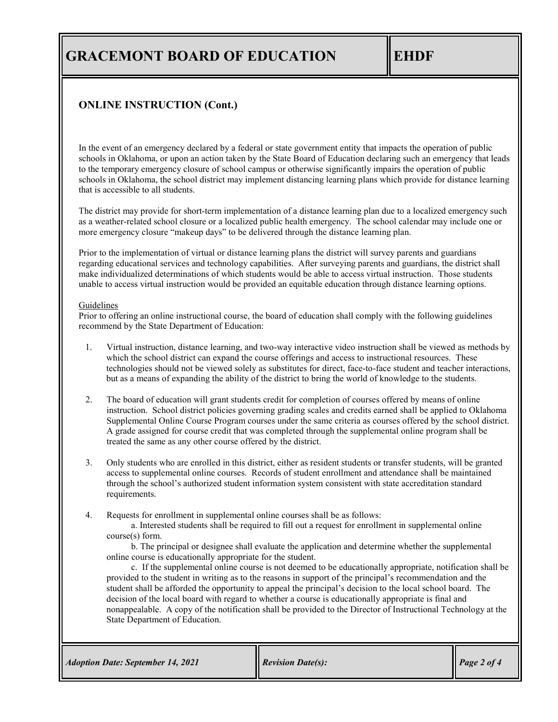### **ONLINE INSTRUCTION (Cont.)**

In the event of an emergency declared by a federal or state government entity that impacts the operation of public schools in Oklahoma, or upon an action taken by the State Board of Education declaring such an emergency that leads to the temporary emergency closure of school campus or otherwise significantly impairs the operation of public schools in Oklahoma, the school district may implement distancing learning plans which provide for distance learning that is accessible to all students.

The district may provide for short-term implementation of a distance learning plan due to a localized emergency such as a weather-related school closure or a localized public health emergency. The school calendar may include one or more emergency closure "makeup days" to be delivered through the distance learning plan.

Prior to the implementation of virtual or distance learning plans the district will survey parents and guardians regarding educational services and technology capabilities. After surveying parents and guardians, the district shall make individualized determinations of which students would be able to access virtual instruction. Those students unable to access virtual instruction would be provided an equitable education through distance learning options.

### Guidelines

Prior to offering an online instructional course, the board of education shall comply with the following guidelines recommend by the State Department of Education:

- 1. Virtual instruction, distance learning, and two-way interactive video instruction shall be viewed as methods by which the school district can expand the course offerings and access to instructional resources. These technologies should not be viewed solely as substitutes for direct, face-to-face student and teacher interactions, but as a means of expanding the ability of the district to bring the world of knowledge to the students.
- 2. The board of education will grant students credit for completion of courses offered by means of online instruction. School district policies governing grading scales and credits earned shall be applied to Oklahoma Supplemental Online Course Program courses under the same criteria as courses offered by the school district. A grade assigned for course credit that was completed through the supplemental online program shall be treated the same as any other course offered by the district.
- 3. Only students who are enrolled in this district, either as resident students or transfer students, will be granted access to supplemental online courses. Records of student enrollment and attendance shall be maintained through the school's authorized student information system consistent with state accreditation standard requirements.

4. Requests for enrollment in supplemental online courses shall be as follows:

a. Interested students shall be required to fill out a request for enrollment in supplemental online course(s) form.

b. The principal or designee shall evaluate the application and determine whether the supplemental online course is educationally appropriate for the student.

c. If the supplemental online course is not deemed to be educationally appropriate, notification shall be provided to the student in writing as to the reasons in support of the principal's recommendation and the student shall be afforded the opportunity to appeal the principal's decision to the local school board. The decision of the local board with regard to whether a course is educationally appropriate is final and nonappealable. A copy of the notification shall be provided to the Director of Instructional Technology at the State Department of Education.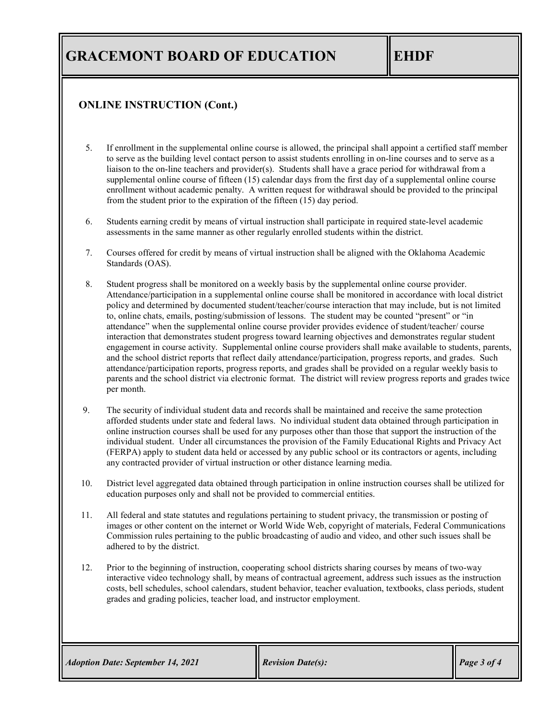### **ONLINE INSTRUCTION (Cont.)**

- 5. If enrollment in the supplemental online course is allowed, the principal shall appoint a certified staff member to serve as the building level contact person to assist students enrolling in on-line courses and to serve as a liaison to the on-line teachers and provider(s). Students shall have a grace period for withdrawal from a supplemental online course of fifteen (15) calendar days from the first day of a supplemental online course enrollment without academic penalty. A written request for withdrawal should be provided to the principal from the student prior to the expiration of the fifteen (15) day period.
- 6. Students earning credit by means of virtual instruction shall participate in required state-level academic assessments in the same manner as other regularly enrolled students within the district.
- 7. Courses offered for credit by means of virtual instruction shall be aligned with the Oklahoma Academic Standards (OAS).
- 8. Student progress shall be monitored on a weekly basis by the supplemental online course provider. Attendance/participation in a supplemental online course shall be monitored in accordance with local district policy and determined by documented student/teacher/course interaction that may include, but is not limited to, online chats, emails, posting/submission of lessons. The student may be counted "present" or "in attendance" when the supplemental online course provider provides evidence of student/teacher/ course interaction that demonstrates student progress toward learning objectives and demonstrates regular student engagement in course activity. Supplemental online course providers shall make available to students, parents, and the school district reports that reflect daily attendance/participation, progress reports, and grades. Such attendance/participation reports, progress reports, and grades shall be provided on a regular weekly basis to parents and the school district via electronic format. The district will review progress reports and grades twice per month.
- 9. The security of individual student data and records shall be maintained and receive the same protection afforded students under state and federal laws. No individual student data obtained through participation in online instruction courses shall be used for any purposes other than those that support the instruction of the individual student. Under all circumstances the provision of the Family Educational Rights and Privacy Act (FERPA) apply to student data held or accessed by any public school or its contractors or agents, including any contracted provider of virtual instruction or other distance learning media.
- 10. District level aggregated data obtained through participation in online instruction courses shall be utilized for education purposes only and shall not be provided to commercial entities.
- 11. All federal and state statutes and regulations pertaining to student privacy, the transmission or posting of images or other content on the internet or World Wide Web, copyright of materials, Federal Communications Commission rules pertaining to the public broadcasting of audio and video, and other such issues shall be adhered to by the district.
- 12. Prior to the beginning of instruction, cooperating school districts sharing courses by means of two-way interactive video technology shall, by means of contractual agreement, address such issues as the instruction costs, bell schedules, school calendars, student behavior, teacher evaluation, textbooks, class periods, student grades and grading policies, teacher load, and instructor employment.